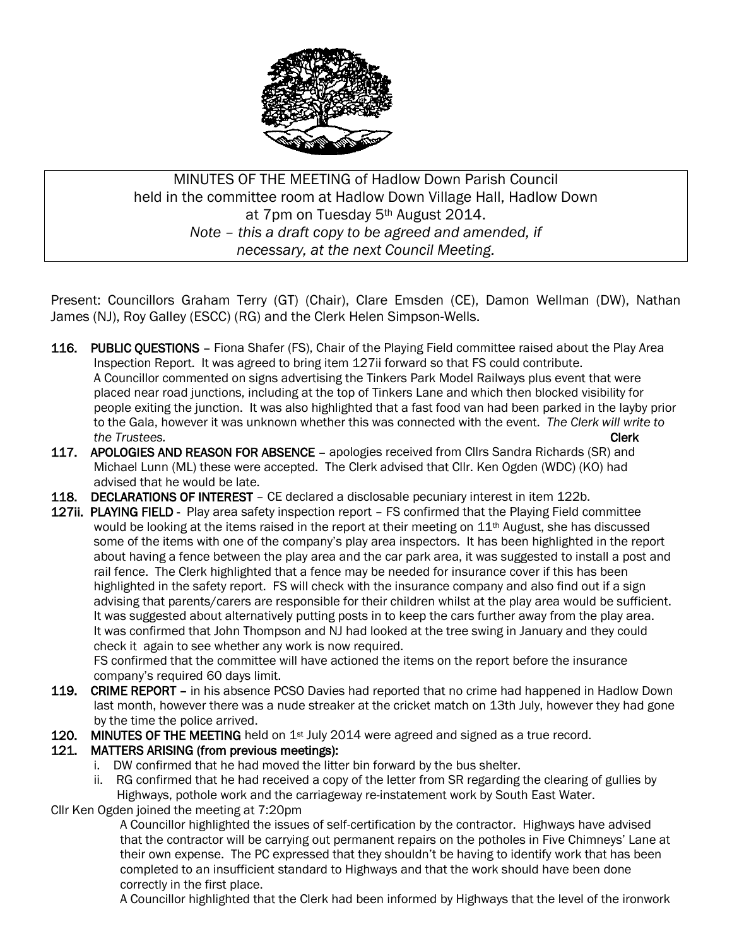

## MINUTES OF THE MEETING of Hadlow Down Parish Council held in the committee room at Hadlow Down Village Hall, Hadlow Down at 7pm on Tuesday 5<sup>th</sup> August 2014. *Note – this a draft copy to be agreed and amended, if necessary, at the next Council Meeting.*

Present: Councillors Graham Terry (GT) (Chair), Clare Emsden (CE), Damon Wellman (DW), Nathan James (NJ), Roy Galley (ESCC) (RG) and the Clerk Helen Simpson-Wells.

- 116. PUBLIC QUESTIONS Fiona Shafer (FS), Chair of the Playing Field committee raised about the Play Area Inspection Report. It was agreed to bring item 127ii forward so that FS could contribute. A Councillor commented on signs advertising the Tinkers Park Model Railways plus event that were placed near road junctions, including at the top of Tinkers Lane and which then blocked visibility for people exiting the junction. It was also highlighted that a fast food van had been parked in the layby prior to the Gala, however it was unknown whether this was connected with the event. *The Clerk will write to the Trustees.* **Clerk**
- 117. APOLOGIES AND REASON FOR ABSENCE apologies received from Cllrs Sandra Richards (SR) and Michael Lunn (ML) these were accepted. The Clerk advised that Cllr. Ken Ogden (WDC) (KO) had advised that he would be late.
- 118. DECLARATIONS OF INTEREST CE declared a disclosable pecuniary interest in item 122b.
- 127ii. PLAYING FIELD Play area safety inspection report FS confirmed that the Playing Field committee would be looking at the items raised in the report at their meeting on 11<sup>th</sup> August, she has discussed some of the items with one of the company's play area inspectors. It has been highlighted in the report about having a fence between the play area and the car park area, it was suggested to install a post and rail fence. The Clerk highlighted that a fence may be needed for insurance cover if this has been highlighted in the safety report. FS will check with the insurance company and also find out if a sign advising that parents/carers are responsible for their children whilst at the play area would be sufficient. It was suggested about alternatively putting posts in to keep the cars further away from the play area. It was confirmed that John Thompson and NJ had looked at the tree swing in January and they could check it again to see whether any work is now required.

 FS confirmed that the committee will have actioned the items on the report before the insurance company's required 60 days limit.

- 119. CRIME REPORT in his absence PCSO Davies had reported that no crime had happened in Hadlow Down last month, however there was a nude streaker at the cricket match on 13th July, however they had gone by the time the police arrived.
- 120. MINUTES OF THE MEETING held on 1<sup>st</sup> July 2014 were agreed and signed as a true record.

## 121. MATTERS ARISING (from previous meetings):

- i. DW confirmed that he had moved the litter bin forward by the bus shelter.
- ii. RG confirmed that he had received a copy of the letter from SR regarding the clearing of gullies by Highways, pothole work and the carriageway re-instatement work by South East Water.

## Cllr Ken Ogden joined the meeting at 7:20pm

 A Councillor highlighted the issues of self-certification by the contractor. Highways have advised that the contractor will be carrying out permanent repairs on the potholes in Five Chimneys' Lane at their own expense. The PC expressed that they shouldn't be having to identify work that has been completed to an insufficient standard to Highways and that the work should have been done correctly in the first place.

A Councillor highlighted that the Clerk had been informed by Highways that the level of the ironwork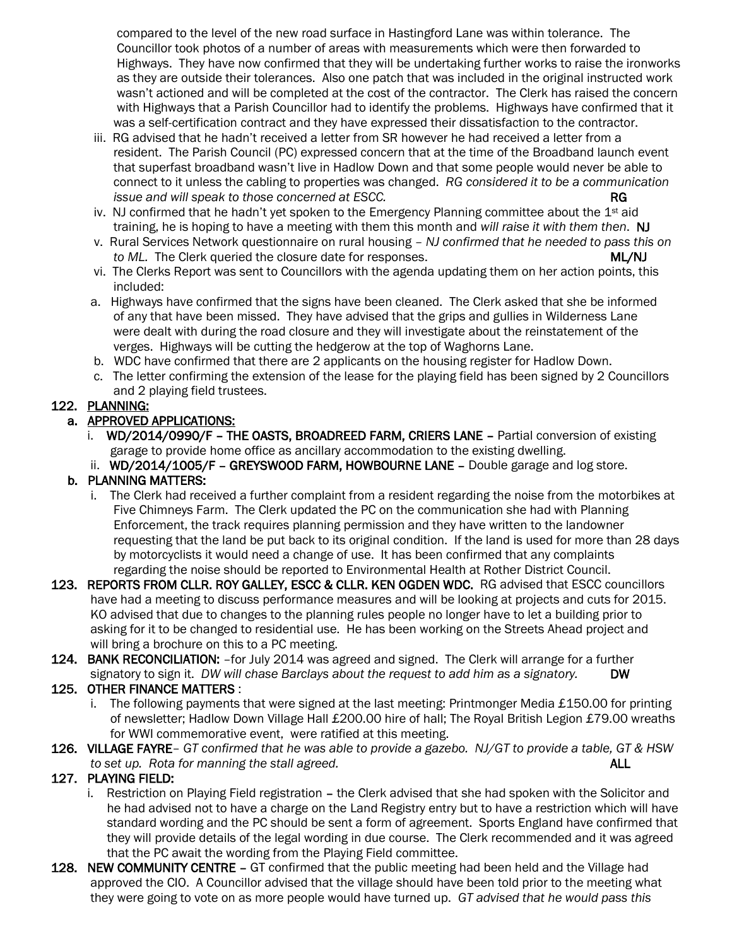compared to the level of the new road surface in Hastingford Lane was within tolerance. The Councillor took photos of a number of areas with measurements which were then forwarded to Highways. They have now confirmed that they will be undertaking further works to raise the ironworks as they are outside their tolerances. Also one patch that was included in the original instructed work wasn't actioned and will be completed at the cost of the contractor. The Clerk has raised the concern with Highways that a Parish Councillor had to identify the problems. Highways have confirmed that it was a self-certification contract and they have expressed their dissatisfaction to the contractor.

- iii. RG advised that he hadn't received a letter from SR however he had received a letter from a resident. The Parish Council (PC) expressed concern that at the time of the Broadband launch event that superfast broadband wasn't live in Hadlow Down and that some people would never be able to connect to it unless the cabling to properties was changed. *RG considered it to be a communication issue and will speak to those concerned at ESCC.*  $\blacksquare$
- iv. NJ confirmed that he hadn't yet spoken to the Emergency Planning committee about the 1st aid training, he is hoping to have a meeting with them this month and *will raise it with them then*. NJ
- v. Rural Services Network questionnaire on rural housing *– NJ confirmed that he needed to pass this on* to ML. The Clerk queried the closure date for responses. **MLART MEAN** ML/NJ
- vi. The Clerks Report was sent to Councillors with the agenda updating them on her action points, this included:
- a. Highways have confirmed that the signs have been cleaned. The Clerk asked that she be informed of any that have been missed. They have advised that the grips and gullies in Wilderness Lane were dealt with during the road closure and they will investigate about the reinstatement of the verges. Highways will be cutting the hedgerow at the top of Waghorns Lane.
- b. WDC have confirmed that there are 2 applicants on the housing register for Hadlow Down.
- c. The letter confirming the extension of the lease for the playing field has been signed by 2 Councillors and 2 playing field trustees.

### 122. PLANNING:

#### a. APPROVED APPLICATIONS:

- i. WD/2014/0990/F THE OASTS, BROADREED FARM, CRIERS LANE Partial conversion of existing garage to provide home office as ancillary accommodation to the existing dwelling.
- ii. WD/2014/1005/F GREYSWOOD FARM, HOWBOURNE LANE Double garage and log store.

#### b. PLANNING MATTERS:

- i. The Clerk had received a further complaint from a resident regarding the noise from the motorbikes at Five Chimneys Farm. The Clerk updated the PC on the communication she had with Planning Enforcement, the track requires planning permission and they have written to the landowner requesting that the land be put back to its original condition. If the land is used for more than 28 days by motorcyclists it would need a change of use. It has been confirmed that any complaints regarding the noise should be reported to Environmental Health at Rother District Council.
- 123. REPORTS FROM CLLR. ROY GALLEY, ESCC & CLLR. KEN OGDEN WDC. RG advised that ESCC councillors have had a meeting to discuss performance measures and will be looking at projects and cuts for 2015. KO advised that due to changes to the planning rules people no longer have to let a building prior to asking for it to be changed to residential use. He has been working on the Streets Ahead project and will bring a brochure on this to a PC meeting.
- 124. BANK RECONCILIATION: -for July 2014 was agreed and signed. The Clerk will arrange for a further signatory to sign it. *DW will chase Barclays about the request to add him as a signatory.* DW

#### 125. OTHER FINANCE MATTERS :

- i. The following payments that were signed at the last meeting: Printmonger Media £150.00 for printing of newsletter; Hadlow Down Village Hall £200.00 hire of hall; The Royal British Legion £79.00 wreaths for WWI commemorative event, were ratified at this meeting.
- 126. VILLAGE FAYRE– *GT confirmed that he was able to provide a gazebo. NJ/GT to provide a table, GT & HSW to set up. Rota for manning the stall agreed.* ALL

### 127. PLAYING FIELD:

- i. Restriction on Playing Field registration the Clerk advised that she had spoken with the Solicitor and he had advised not to have a charge on the Land Registry entry but to have a restriction which will have standard wording and the PC should be sent a form of agreement. Sports England have confirmed that they will provide details of the legal wording in due course. The Clerk recommended and it was agreed that the PC await the wording from the Playing Field committee.
- 128. NEW COMMUNITY CENTRE GT confirmed that the public meeting had been held and the Village had approved the CIO. A Councillor advised that the village should have been told prior to the meeting what they were going to vote on as more people would have turned up. *GT advised that he would pass this*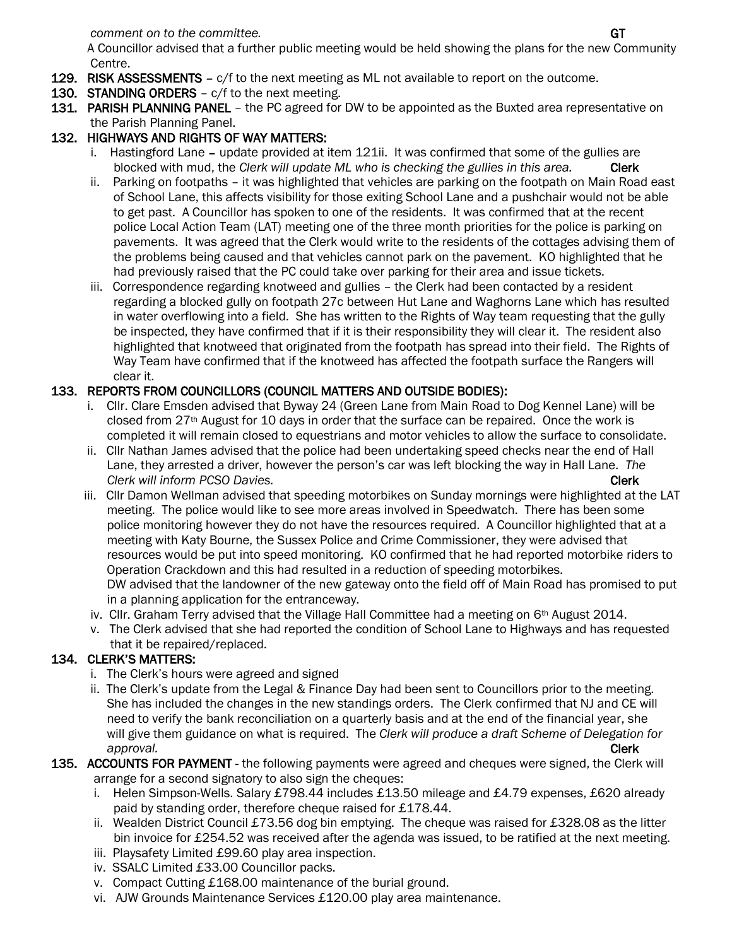*comment on to the committee.* GT

 A Councillor advised that a further public meeting would be held showing the plans for the new Community Centre.

- 129. RISK ASSESSMENTS c/f to the next meeting as ML not available to report on the outcome.
- 130. STANDING ORDERS c/f to the next meeting.
- 131. PARISH PLANNING PANEL the PC agreed for DW to be appointed as the Buxted area representative on the Parish Planning Panel.

## 132. HIGHWAYS AND RIGHTS OF WAY MATTERS:

- i. Hastingford Lane update provided at item 121ii. It was confirmed that some of the gullies are blocked with mud, the *Clerk will update ML who is checking the gullies in this area.* Clerk
- ii. Parking on footpaths it was highlighted that vehicles are parking on the footpath on Main Road east of School Lane, this affects visibility for those exiting School Lane and a pushchair would not be able to get past. A Councillor has spoken to one of the residents. It was confirmed that at the recent police Local Action Team (LAT) meeting one of the three month priorities for the police is parking on pavements. It was agreed that the Clerk would write to the residents of the cottages advising them of the problems being caused and that vehicles cannot park on the pavement. KO highlighted that he had previously raised that the PC could take over parking for their area and issue tickets.
- iii. Correspondence regarding knotweed and gullies the Clerk had been contacted by a resident regarding a blocked gully on footpath 27c between Hut Lane and Waghorns Lane which has resulted in water overflowing into a field. She has written to the Rights of Way team requesting that the gully be inspected, they have confirmed that if it is their responsibility they will clear it. The resident also highlighted that knotweed that originated from the footpath has spread into their field. The Rights of Way Team have confirmed that if the knotweed has affected the footpath surface the Rangers will clear it.

## 133. REPORTS FROM COUNCILLORS (COUNCIL MATTERS AND OUTSIDE BODIES):

- i. Cllr. Clare Emsden advised that Byway 24 (Green Lane from Main Road to Dog Kennel Lane) will be closed from 27<sup>th</sup> August for 10 days in order that the surface can be repaired. Once the work is completed it will remain closed to equestrians and motor vehicles to allow the surface to consolidate.
- ii. Cllr Nathan James advised that the police had been undertaking speed checks near the end of Hall Lane, they arrested a driver, however the person's car was left blocking the way in Hall Lane. *The Clerk will inform PCSO Davies.* Clerk
- iii. Cllr Damon Wellman advised that speeding motorbikes on Sunday mornings were highlighted at the LAT meeting. The police would like to see more areas involved in Speedwatch. There has been some police monitoring however they do not have the resources required. A Councillor highlighted that at a meeting with Katy Bourne, the Sussex Police and Crime Commissioner, they were advised that resources would be put into speed monitoring. KO confirmed that he had reported motorbike riders to Operation Crackdown and this had resulted in a reduction of speeding motorbikes. DW advised that the landowner of the new gateway onto the field off of Main Road has promised to put in a planning application for the entranceway.
- iv. Cllr. Graham Terry advised that the Village Hall Committee had a meeting on  $6<sup>th</sup>$  August 2014.
- v. The Clerk advised that she had reported the condition of School Lane to Highways and has requested that it be repaired/replaced.

## 134. CLERK'S MATTERS:

- i. The Clerk's hours were agreed and signed
- ii. The Clerk's update from the Legal & Finance Day had been sent to Councillors prior to the meeting. She has included the changes in the new standings orders. The Clerk confirmed that NJ and CE will need to verify the bank reconciliation on a quarterly basis and at the end of the financial year, she will give them guidance on what is required. The *Clerk will produce a draft Scheme of Delegation for approval.* Clerk
- 135. ACCOUNTS FOR PAYMENT the following payments were agreed and cheques were signed, the Clerk will arrange for a second signatory to also sign the cheques:
	- i. Helen Simpson-Wells. Salary £798.44 includes £13.50 mileage and £4.79 expenses, £620 already paid by standing order, therefore cheque raised for £178.44.
	- ii. Wealden District Council £73.56 dog bin emptying. The cheque was raised for £328.08 as the litter bin invoice for £254.52 was received after the agenda was issued, to be ratified at the next meeting.
	- iii. Playsafety Limited £99.60 play area inspection.
	- iv. SSALC Limited £33.00 Councillor packs.
	- v. Compact Cutting £168.00 maintenance of the burial ground.
	- vi. AJW Grounds Maintenance Services £120.00 play area maintenance.